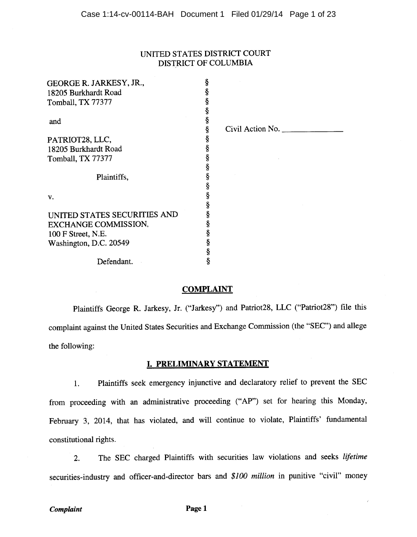### UNITED STATES DISTRICT COURT DISTRICT OF COLUMBIA

| GEORGE R. JARKESY, JR.,      | ş |                            |
|------------------------------|---|----------------------------|
| 18205 Burkhardt Road         | ş |                            |
| Tomball, TX 77377            | ş |                            |
|                              | ş |                            |
| and                          | ş |                            |
|                              | ş | Civil Action No. $\_\_\_\$ |
| PATRIOT28, LLC,              | ş |                            |
| 18205 Burkhardt Road         | ş |                            |
| Tomball, TX 77377            | ş |                            |
|                              | ş |                            |
| Plaintiffs,                  | Ş |                            |
|                              | ş |                            |
| v.                           | § |                            |
|                              | ş |                            |
| UNITED STATES SECURITIES AND | ş |                            |
| EXCHANGE COMMISSION,         | ş |                            |
| 100 F Street, N.E.           | ş |                            |
| Washington, D.C. 20549       | ş |                            |
|                              | ş |                            |
| Defendant.                   | ş |                            |

### **COMPLAINT**

Plaintiffs George R. Jarkesy, Jr. ("Jarkesy") and Patriot28, LLC ("Patriot28") file this complaint against the United States Securities and Exchange Commission (the "SEC") and allege the following:

### I. PRELIMINARY STATEMENT

Plaintiffs seek emergency injunctive and declaratory relief to prevent the SEC  $1.$ from proceeding with an administrative proceeding ("AP") set for hearing this Monday, February 3, 2014, that has violated, and will continue to violate, Plaintiffs' fundamental constitutional rights.

The SEC charged Plaintiffs with securities law violations and seeks lifetime  $2.$ securities-industry and officer-and-director bars and \$100 million in punitive "civil" money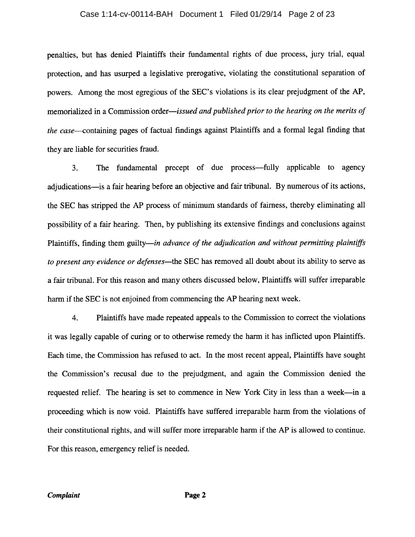## Case 1:14-cv-00114-BAH Document 1 Filed 01/29/14 Page 2 of 23

penalties, but has denied Plaintiffs their fundamental rights of due process, jury trial, equal protection, and has usurped a legislative prerogative, violating the constitutional separation of powers. Among the most egregious of the SEC's violations is its clear prejudgment of the AP, memorialized in a Commission order—issued and published prior to the hearing on the merits of the case—containing pages of factual findings against Plaintiffs and a formal legal finding that they are liable for securities fraud.

The fundamental precept of due process—fully applicable to agency  $3<sub>1</sub>$ adjudications—is a fair hearing before an objective and fair tribunal. By numerous of its actions, the SEC has stripped the AP process of minimum standards of fairness, thereby eliminating all possibility of a fair hearing. Then, by publishing its extensive findings and conclusions against Plaintiffs, finding them guilty—in advance of the adjudication and without permitting plaintiffs to present any evidence or defenses—the SEC has removed all doubt about its ability to serve as a fair tribunal. For this reason and many others discussed below, Plaintiffs will suffer irreparable harm if the SEC is not enjoined from commencing the AP hearing next week.

Plaintiffs have made repeated appeals to the Commission to correct the violations 4. it was legally capable of curing or to otherwise remedy the harm it has inflicted upon Plaintiffs. Each time, the Commission has refused to act. In the most recent appeal, Plaintiffs have sought the Commission's recusal due to the prejudgment, and again the Commission denied the requested relief. The hearing is set to commence in New York City in less than a week—in a proceeding which is now void. Plaintiffs have suffered irreparable harm from the violations of their constitutional rights, and will suffer more irreparable harm if the AP is allowed to continue. For this reason, emergency relief is needed.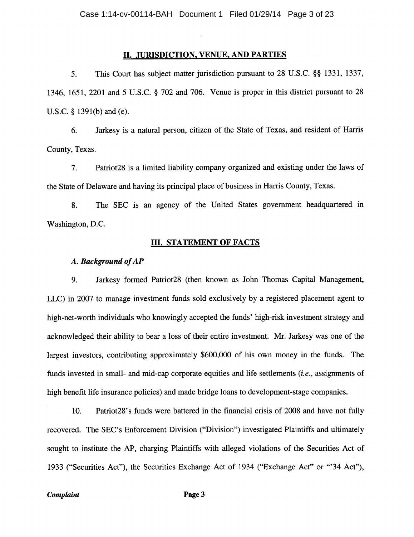### II. JURISDICTION, VENUE, AND PARTIES

This Court has subject matter jurisdiction pursuant to 28 U.S.C. §§ 1331, 1337,  $5<sub>1</sub>$ 1346, 1651, 2201 and 5 U.S.C. § 702 and 706. Venue is proper in this district pursuant to 28 U.S.C.  $\S$  1391(b) and (e).

Jarkesy is a natural person, citizen of the State of Texas, and resident of Harris 6. County, Texas.

7. Patriot28 is a limited liability company organized and existing under the laws of the State of Delaware and having its principal place of business in Harris County, Texas.

The SEC is an agency of the United States government headquartered in 8. Washington, D.C.

#### **III. STATEMENT OF FACTS**

#### A. Background of AP

9. Jarkesy formed Patriot28 (then known as John Thomas Capital Management, LLC) in 2007 to manage investment funds sold exclusively by a registered placement agent to high-net-worth individuals who knowingly accepted the funds' high-risk investment strategy and acknowledged their ability to bear a loss of their entire investment. Mr. Jarkesy was one of the largest investors, contributing approximately \$600,000 of his own money in the funds. The funds invested in small- and mid-cap corporate equities and life settlements *(i.e.*, assignments of high benefit life insurance policies) and made bridge loans to development-stage companies.

Patriot 28's funds were battered in the financial crisis of 2008 and have not fully 10. recovered. The SEC's Enforcement Division ("Division") investigated Plaintiffs and ultimately sought to institute the AP, charging Plaintiffs with alleged violations of the Securities Act of 1933 ("Securities Act"), the Securities Exchange Act of 1934 ("Exchange Act" or "34 Act"),

#### Complaint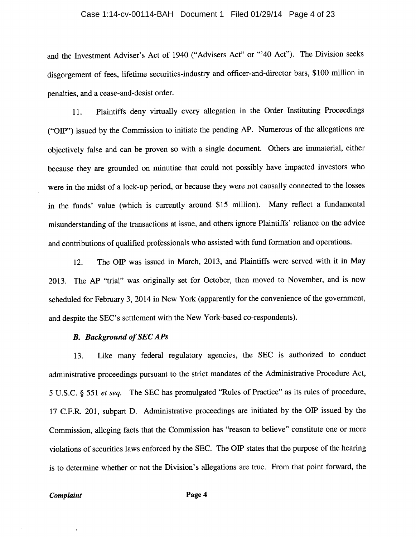## Case 1:14-cv-00114-BAH Document 1 Filed 01/29/14 Page 4 of 23

and the Investment Adviser's Act of 1940 ("Advisers Act" or "'40 Act"). The Division seeks disgorgement of fees, lifetime securities-industry and officer-and-director bars, \$100 million in penalties, and a cease-and-desist order.

Plaintiffs deny virtually every allegation in the Order Instituting Proceedings 11. ("OIP") issued by the Commission to initiate the pending AP. Numerous of the allegations are objectively false and can be proven so with a single document. Others are immaterial, either because they are grounded on minutiae that could not possibly have impacted investors who were in the midst of a lock-up period, or because they were not causally connected to the losses in the funds' value (which is currently around \$15 million). Many reflect a fundamental misunderstanding of the transactions at issue, and others ignore Plaintiffs' reliance on the advice and contributions of qualified professionals who assisted with fund formation and operations.

The OIP was issued in March, 2013, and Plaintiffs were served with it in May 12. 2013. The AP "trial" was originally set for October, then moved to November, and is now scheduled for February 3, 2014 in New York (apparently for the convenience of the government, and despite the SEC's settlement with the New York-based co-respondents).

#### **B.** Background of SEC APs

Like many federal regulatory agencies, the SEC is authorized to conduct 13. administrative proceedings pursuant to the strict mandates of the Administrative Procedure Act, 5 U.S.C. § 551 et seq. The SEC has promulgated "Rules of Practice" as its rules of procedure, 17 C.F.R. 201, subpart D. Administrative proceedings are initiated by the OIP issued by the Commission, alleging facts that the Commission has "reason to believe" constitute one or more violations of securities laws enforced by the SEC. The OIP states that the purpose of the hearing is to determine whether or not the Division's allegations are true. From that point forward, the

#### Complaint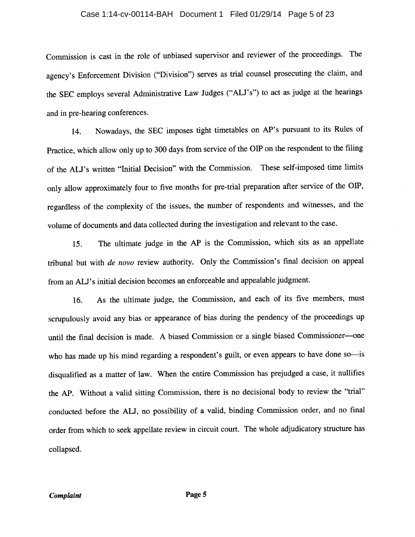## Case 1:14-cv-00114-BAH Document 1 Filed 01/29/14 Page 5 of 23

Commission is cast in the role of unbiased supervisor and reviewer of the proceedings. The agency's Enforcement Division ("Division") serves as trial counsel prosecuting the claim, and the SEC employs several Administrative Law Judges ("ALJ's") to act as judge at the hearings and in pre-hearing conferences.

Nowadays, the SEC imposes tight timetables on AP's pursuant to its Rules of 14. Practice, which allow only up to 300 days from service of the OIP on the respondent to the filing of the ALJ's written "Initial Decision" with the Commission. These self-imposed time limits only allow approximately four to five months for pre-trial preparation after service of the OIP, regardless of the complexity of the issues, the number of respondents and witnesses, and the volume of documents and data collected during the investigation and relevant to the case.

The ultimate judge in the AP is the Commission, which sits as an appellate  $15.$ tribunal but with *de novo* review authority. Only the Commission's final decision on appeal from an ALJ's initial decision becomes an enforceable and appealable judgment.

As the ultimate judge, the Commission, and each of its five members, must 16. scrupulously avoid any bias or appearance of bias during the pendency of the proceedings up until the final decision is made. A biased Commission or a single biased Commissioner-one who has made up his mind regarding a respondent's guilt, or even appears to have done so-is disqualified as a matter of law. When the entire Commission has prejudged a case, it nullifies the AP. Without a valid sitting Commission, there is no decisional body to review the "trial" conducted before the ALJ, no possibility of a valid, binding Commission order, and no final order from which to seek appellate review in circuit court. The whole adjudicatory structure has collapsed.

Page 5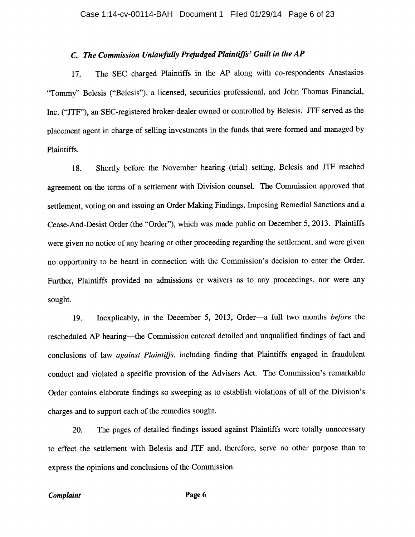#### C. The Commission Unlawfully Prejudged Plaintiffs' Guilt in the AP

The SEC charged Plaintiffs in the AP along with co-respondents Anastasios 17. "Tommy" Belesis ("Belesis"), a licensed, securities professional, and John Thomas Financial, Inc. ("JTF"), an SEC-registered broker-dealer owned or controlled by Belesis. JTF served as the placement agent in charge of selling investments in the funds that were formed and managed by Plaintiffs.

Shortly before the November hearing (trial) setting, Belesis and JTF reached 18. agreement on the terms of a settlement with Division counsel. The Commission approved that settlement, voting on and issuing an Order Making Findings, Imposing Remedial Sanctions and a Cease-And-Desist Order (the "Order"), which was made public on December 5, 2013. Plaintiffs were given no notice of any hearing or other proceeding regarding the settlement, and were given no opportunity to be heard in connection with the Commission's decision to enter the Order. Further, Plaintiffs provided no admissions or waivers as to any proceedings, nor were any sought.

Inexplicably, in the December 5, 2013, Order—a full two months before the 19. rescheduled AP hearing-the Commission entered detailed and unqualified findings of fact and conclusions of law against Plaintiffs, including finding that Plaintiffs engaged in fraudulent conduct and violated a specific provision of the Advisers Act. The Commission's remarkable Order contains elaborate findings so sweeping as to establish violations of all of the Division's charges and to support each of the remedies sought.

The pages of detailed findings issued against Plaintiffs were totally unnecessary 20. to effect the settlement with Belesis and JTF and, therefore, serve no other purpose than to express the opinions and conclusions of the Commission.

#### Complaint

Page 6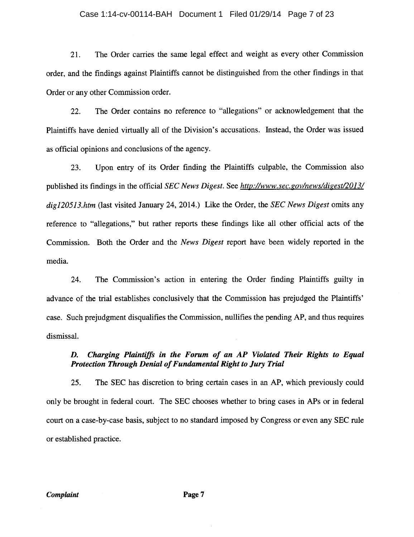#### Case 1:14-cv-00114-BAH Document 1 Filed 01/29/14 Page 7 of 23

The Order carries the same legal effect and weight as every other Commission 21. order, and the findings against Plaintiffs cannot be distinguished from the other findings in that Order or any other Commission order.

The Order contains no reference to "allegations" or acknowledgement that the 22. Plaintiffs have denied virtually all of the Division's accusations. Instead, the Order was issued as official opinions and conclusions of the agency.

Upon entry of its Order finding the Plaintiffs culpable, the Commission also 23. published its findings in the official SEC News Digest. See http://www.sec.gov/news/digest/2013/ dig120513.htm (last visited January 24, 2014.) Like the Order, the SEC News Digest omits any reference to "allegations," but rather reports these findings like all other official acts of the Commission. Both the Order and the News Digest report have been widely reported in the media.

24. The Commission's action in entering the Order finding Plaintiffs guilty in advance of the trial establishes conclusively that the Commission has prejudged the Plaintiffs' case. Such prejudgment disqualifies the Commission, nullifies the pending AP, and thus requires dismissal.

#### Charging Plaintiffs in the Forum of an AP Violated Their Rights to Equal D. Protection Through Denial of Fundamental Right to Jury Trial

25. The SEC has discretion to bring certain cases in an AP, which previously could only be brought in federal court. The SEC chooses whether to bring cases in APs or in federal court on a case-by-case basis, subject to no standard imposed by Congress or even any SEC rule or established practice.

Complaint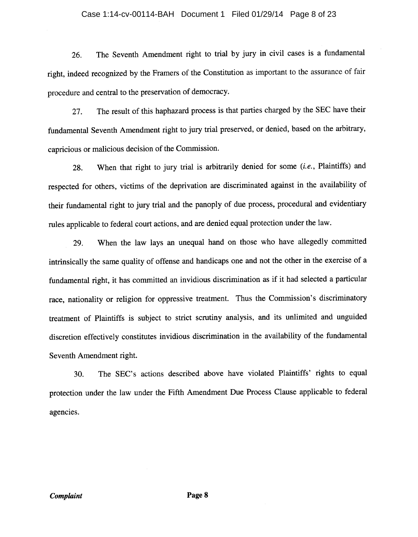#### Case 1:14-cv-00114-BAH Document 1 Filed 01/29/14 Page 8 of 23

The Seventh Amendment right to trial by jury in civil cases is a fundamental 26. right, indeed recognized by the Framers of the Constitution as important to the assurance of fair procedure and central to the preservation of democracy.

The result of this haphazard process is that parties charged by the SEC have their 27. fundamental Seventh Amendment right to jury trial preserved, or denied, based on the arbitrary, capricious or malicious decision of the Commission.

When that right to jury trial is arbitrarily denied for some (i.e., Plaintiffs) and 28. respected for others, victims of the deprivation are discriminated against in the availability of their fundamental right to jury trial and the panoply of due process, procedural and evidentiary rules applicable to federal court actions, and are denied equal protection under the law.

When the law lays an unequal hand on those who have allegedly committed 29. intrinsically the same quality of offense and handicaps one and not the other in the exercise of a fundamental right, it has committed an invidious discrimination as if it had selected a particular race, nationality or religion for oppressive treatment. Thus the Commission's discriminatory treatment of Plaintiffs is subject to strict scrutiny analysis, and its unlimited and unguided discretion effectively constitutes invidious discrimination in the availability of the fundamental Seventh Amendment right.

The SEC's actions described above have violated Plaintiffs' rights to equal 30. protection under the law under the Fifth Amendment Due Process Clause applicable to federal agencies.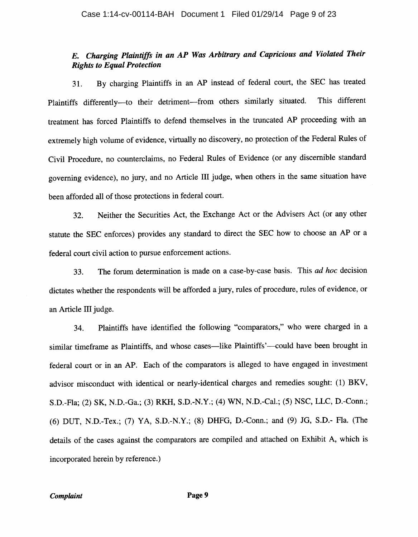# E. Charging Plaintiffs in an AP Was Arbitrary and Capricious and Violated Their **Rights to Equal Protection**

By charging Plaintiffs in an AP instead of federal court, the SEC has treated 31. Plaintiffs differently--- to their detriment--- from others similarly situated. This different treatment has forced Plaintiffs to defend themselves in the truncated AP proceeding with an extremely high volume of evidence, virtually no discovery, no protection of the Federal Rules of Civil Procedure, no counterclaims, no Federal Rules of Evidence (or any discernible standard governing evidence), no jury, and no Article III judge, when others in the same situation have been afforded all of those protections in federal court.

Neither the Securities Act, the Exchange Act or the Advisers Act (or any other 32. statute the SEC enforces) provides any standard to direct the SEC how to choose an AP or a federal court civil action to pursue enforcement actions.

The forum determination is made on a case-by-case basis. This ad hoc decision 33. dictates whether the respondents will be afforded a jury, rules of procedure, rules of evidence, or an Article III judge.

Plaintiffs have identified the following "comparators," who were charged in a 34. similar timeframe as Plaintiffs, and whose cases—like Plaintiffs'—could have been brought in federal court or in an AP. Each of the comparators is alleged to have engaged in investment advisor misconduct with identical or nearly-identical charges and remedies sought: (1) BKV, S.D.-Fla: (2) SK, N.D.-Ga.; (3) RKH, S.D.-N.Y.; (4) WN, N.D.-Cal.; (5) NSC, LLC, D.-Conn.; (6) DUT, N.D.-Tex.; (7) YA, S.D.-N.Y.; (8) DHFG, D.-Conn.; and (9) JG, S.D.- Fla. (The details of the cases against the comparators are compiled and attached on Exhibit A, which is incorporated herein by reference.)

Page 9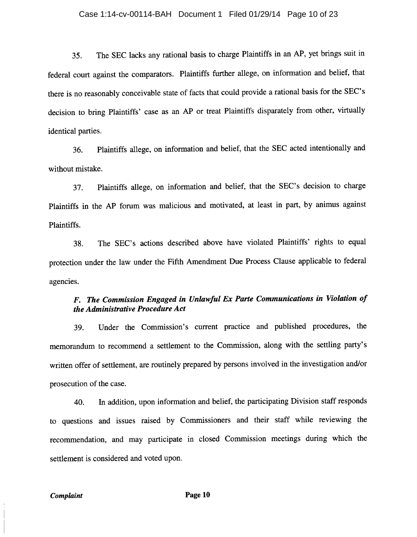#### Case 1:14-cv-00114-BAH Document 1 Filed 01/29/14 Page 10 of 23

The SEC lacks any rational basis to charge Plaintiffs in an AP, yet brings suit in 35. federal court against the comparators. Plaintiffs further allege, on information and belief, that there is no reasonably conceivable state of facts that could provide a rational basis for the SEC's decision to bring Plaintiffs' case as an AP or treat Plaintiffs disparately from other, virtually identical parties.

Plaintiffs allege, on information and belief, that the SEC acted intentionally and 36. without mistake.

Plaintiffs allege, on information and belief, that the SEC's decision to charge 37. Plaintiffs in the AP forum was malicious and motivated, at least in part, by animus against Plaintiffs.

The SEC's actions described above have violated Plaintiffs' rights to equal 38. protection under the law under the Fifth Amendment Due Process Clause applicable to federal agencies.

# F. The Commission Engaged in Unlawful Ex Parte Communications in Violation of the Administrative Procedure Act

Under the Commission's current practice and published procedures, the 39. memorandum to recommend a settlement to the Commission, along with the settling party's written offer of settlement, are routinely prepared by persons involved in the investigation and/or prosecution of the case.

In addition, upon information and belief, the participating Division staff responds 40. to questions and issues raised by Commissioners and their staff while reviewing the recommendation, and may participate in closed Commission meetings during which the settlement is considered and voted upon.

Complaint

Page 10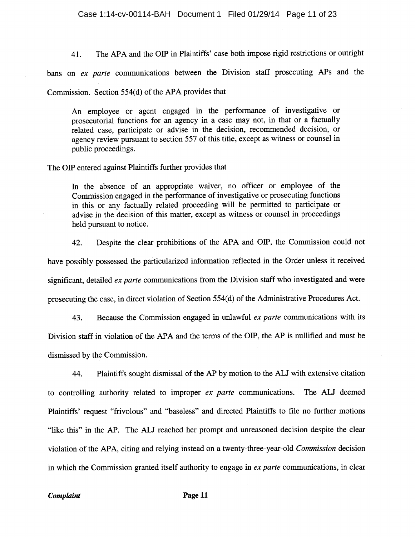The APA and the OIP in Plaintiffs' case both impose rigid restrictions or outright 41.

bans on ex parte communications between the Division staff prosecuting APs and the

Commission. Section 554(d) of the APA provides that

An employee or agent engaged in the performance of investigative or prosecutorial functions for an agency in a case may not, in that or a factually related case, participate or advise in the decision, recommended decision, or agency review pursuant to section 557 of this title, except as witness or counsel in public proceedings.

The OIP entered against Plaintiffs further provides that

In the absence of an appropriate waiver, no officer or employee of the Commission engaged in the performance of investigative or prosecuting functions in this or any factually related proceeding will be permitted to participate or advise in the decision of this matter, except as witness or counsel in proceedings held pursuant to notice.

Despite the clear prohibitions of the APA and OIP, the Commission could not 42. have possibly possessed the particularized information reflected in the Order unless it received significant, detailed ex parte communications from the Division staff who investigated and were prosecuting the case, in direct violation of Section 554(d) of the Administrative Procedures Act.

Because the Commission engaged in unlawful ex parte communications with its 43. Division staff in violation of the APA and the terms of the OIP, the AP is nullified and must be dismissed by the Commission.

Plaintiffs sought dismissal of the AP by motion to the ALJ with extensive citation 44. to controlling authority related to improper ex parte communications. The ALJ deemed Plaintiffs' request "frivolous" and "baseless" and directed Plaintiffs to file no further motions "like this" in the AP. The ALJ reached her prompt and unreasoned decision despite the clear violation of the APA, citing and relying instead on a twenty-three-year-old Commission decision in which the Commission granted itself authority to engage in ex parte communications, in clear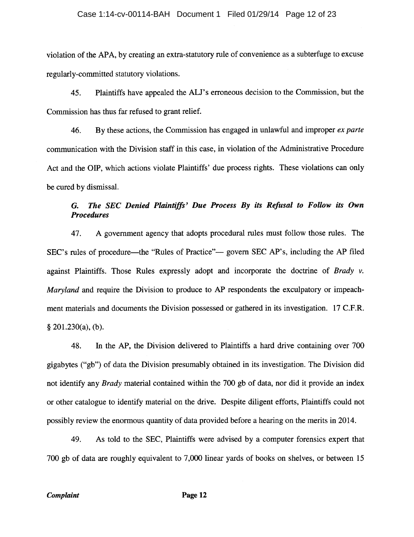violation of the APA, by creating an extra-statutory rule of convenience as a subterfuge to excuse regularly-committed statutory violations.

Plaintiffs have appealed the ALJ's erroneous decision to the Commission, but the 45. Commission has thus far refused to grant relief.

46. By these actions, the Commission has engaged in unlawful and improper ex parte communication with the Division staff in this case, in violation of the Administrative Procedure Act and the OIP, which actions violate Plaintiffs' due process rights. These violations can only be cured by dismissal.

#### The SEC Denied Plaintiffs' Due Process By its Refusal to Follow its Own G. **Procedures**

A government agency that adopts procedural rules must follow those rules. The 47. SEC's rules of procedure—the "Rules of Practice"— govern SEC AP's, including the AP filed against Plaintiffs. Those Rules expressly adopt and incorporate the doctrine of Brady v. Maryland and require the Division to produce to AP respondents the exculpatory or impeachment materials and documents the Division possessed or gathered in its investigation. 17 C.F.R.  $§$  201.230(a), (b).

In the AP, the Division delivered to Plaintiffs a hard drive containing over 700 48. gigabytes ("gb") of data the Division presumably obtained in its investigation. The Division did not identify any *Brady* material contained within the 700 gb of data, nor did it provide an index or other catalogue to identify material on the drive. Despite diligent efforts, Plaintiffs could not possibly review the enormous quantity of data provided before a hearing on the merits in 2014.

As told to the SEC, Plaintiffs were advised by a computer forensics expert that 49. 700 gb of data are roughly equivalent to 7,000 linear yards of books on shelves, or between 15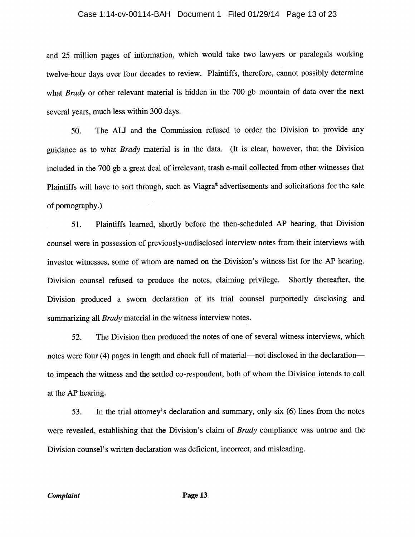#### Case 1:14-cv-00114-BAH Document 1 Filed 01/29/14 Page 13 of 23

and 25 million pages of information, which would take two lawyers or paralegals working twelve-hour days over four decades to review. Plaintiffs, therefore, cannot possibly determine what Brady or other relevant material is hidden in the 700 gb mountain of data over the next several years, much less within 300 days.

The ALJ and the Commission refused to order the Division to provide any 50. guidance as to what *Brady* material is in the data. (It is clear, however, that the Division included in the 700 gb a great deal of irrelevant, trash e-mail collected from other witnesses that Plaintiffs will have to sort through, such as Viagra® advertisements and solicitations for the sale of pornography.)

Plaintiffs learned, shortly before the then-scheduled AP hearing, that Division  $51.$ counsel were in possession of previously-undisclosed interview notes from their interviews with investor witnesses, some of whom are named on the Division's witness list for the AP hearing. Division counsel refused to produce the notes, claiming privilege. Shortly thereafter, the Division produced a sworn declaration of its trial counsel purportedly disclosing and summarizing all *Brady* material in the witness interview notes.

The Division then produced the notes of one of several witness interviews, which 52. notes were four (4) pages in length and chock full of material—not disclosed in the declaration to impeach the witness and the settled co-respondent, both of whom the Division intends to call at the AP hearing.

In the trial attorney's declaration and summary, only six (6) lines from the notes 53. were revealed, establishing that the Division's claim of *Brady* compliance was untrue and the Division counsel's written declaration was deficient, incorrect, and misleading.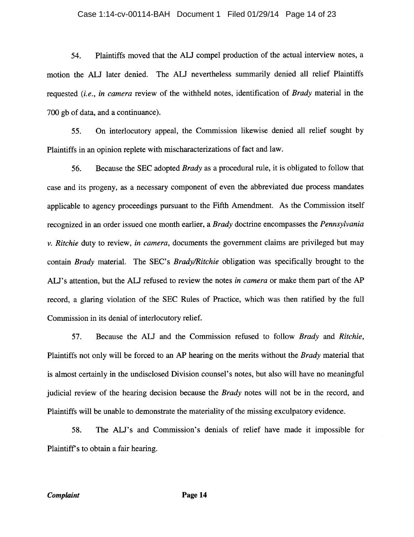#### Case 1:14-cv-00114-BAH Document 1 Filed 01/29/14 Page 14 of 23

Plaintiffs moved that the ALJ compel production of the actual interview notes, a 54. motion the ALJ later denied. The ALJ nevertheless summarily denied all relief Plaintiffs requested (i.e., in camera review of the withheld notes, identification of Brady material in the 700 gb of data, and a continuance).

On interlocutory appeal, the Commission likewise denied all relief sought by 55. Plaintiffs in an opinion replete with mischaracterizations of fact and law.

Because the SEC adopted *Brady* as a procedural rule, it is obligated to follow that 56. case and its progeny, as a necessary component of even the abbreviated due process mandates applicable to agency proceedings pursuant to the Fifth Amendment. As the Commission itself recognized in an order issued one month earlier, a Brady doctrine encompasses the Pennsylvania  $\nu$ . Ritchie duty to review, in camera, documents the government claims are privileged but may contain Brady material. The SEC's Brady/Ritchie obligation was specifically brought to the ALJ's attention, but the ALJ refused to review the notes in camera or make them part of the AP record, a glaring violation of the SEC Rules of Practice, which was then ratified by the full Commission in its denial of interlocutory relief.

57. Because the ALJ and the Commission refused to follow Brady and Ritchie, Plaintiffs not only will be forced to an AP hearing on the merits without the *Brady* material that is almost certainly in the undisclosed Division counsel's notes, but also will have no meaningful judicial review of the hearing decision because the *Brady* notes will not be in the record, and Plaintiffs will be unable to demonstrate the materiality of the missing exculpatory evidence.

58. The ALJ's and Commission's denials of relief have made it impossible for Plaintiff's to obtain a fair hearing.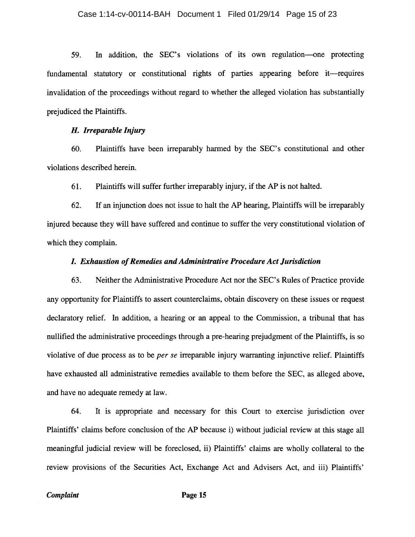In addition, the SEC's violations of its own regulation-one protecting 59. fundamental statutory or constitutional rights of parties appearing before it—requires invalidation of the proceedings without regard to whether the alleged violation has substantially prejudiced the Plaintiffs.

#### H. Irreparable Injury

Plaintiffs have been irreparably harmed by the SEC's constitutional and other 60. violations described herein.

61. Plaintiffs will suffer further irreparably injury, if the AP is not halted.

62. If an injunction does not issue to halt the AP hearing, Plaintiffs will be irreparably injured because they will have suffered and continue to suffer the very constitutional violation of which they complain.

### I. Exhaustion of Remedies and Administrative Procedure Act Jurisdiction

63. Neither the Administrative Procedure Act nor the SEC's Rules of Practice provide any opportunity for Plaintiffs to assert counterclaims, obtain discovery on these issues or request declaratory relief. In addition, a hearing or an appeal to the Commission, a tribunal that has nullified the administrative proceedings through a pre-hearing prejudgment of the Plaintiffs, is so violative of due process as to be *per se* irreparable injury warranting injunctive relief. Plaintiffs have exhausted all administrative remedies available to them before the SEC, as alleged above, and have no adequate remedy at law.

It is appropriate and necessary for this Court to exercise jurisdiction over 64. Plaintiffs' claims before conclusion of the AP because i) without judicial review at this stage all meaningful judicial review will be foreclosed, ii) Plaintiffs' claims are wholly collateral to the review provisions of the Securities Act, Exchange Act and Advisers Act, and iii) Plaintiffs'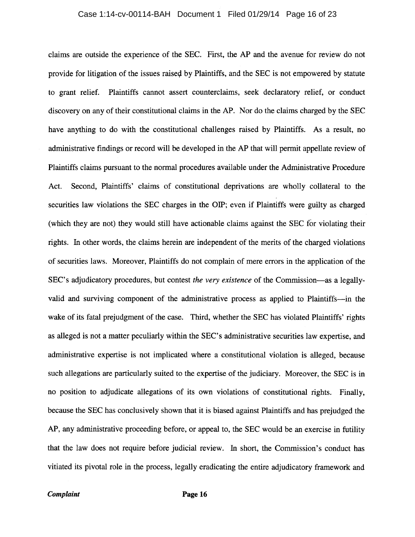#### Case 1:14-cv-00114-BAH Document 1 Filed 01/29/14 Page 16 of 23

claims are outside the experience of the SEC. First, the AP and the avenue for review do not provide for litigation of the issues raised by Plaintiffs, and the SEC is not empowered by statute to grant relief. Plaintiffs cannot assert counterclaims, seek declaratory relief, or conduct discovery on any of their constitutional claims in the AP. Nor do the claims charged by the SEC have anything to do with the constitutional challenges raised by Plaintiffs. As a result, no administrative findings or record will be developed in the AP that will permit appellate review of Plaintiffs claims pursuant to the normal procedures available under the Administrative Procedure Act. Second, Plaintiffs' claims of constitutional deprivations are wholly collateral to the securities law violations the SEC charges in the OIP; even if Plaintiffs were guilty as charged (which they are not) they would still have actionable claims against the SEC for violating their rights. In other words, the claims herein are independent of the merits of the charged violations of securities laws. Moreover, Plaintiffs do not complain of mere errors in the application of the SEC's adjudicatory procedures, but contest the very existence of the Commission—as a legallyvalid and surviving component of the administrative process as applied to Plaintiffs—in the wake of its fatal prejudgment of the case. Third, whether the SEC has violated Plaintiffs' rights as alleged is not a matter peculiarly within the SEC's administrative securities law expertise, and administrative expertise is not implicated where a constitutional violation is alleged, because such allegations are particularly suited to the expertise of the judiciary. Moreover, the SEC is in no position to adjudicate allegations of its own violations of constitutional rights. Finally, because the SEC has conclusively shown that it is biased against Plaintiffs and has prejudged the AP, any administrative proceeding before, or appeal to, the SEC would be an exercise in futility that the law does not require before judicial review. In short, the Commission's conduct has vitiated its pivotal role in the process, legally eradicating the entire adjudicatory framework and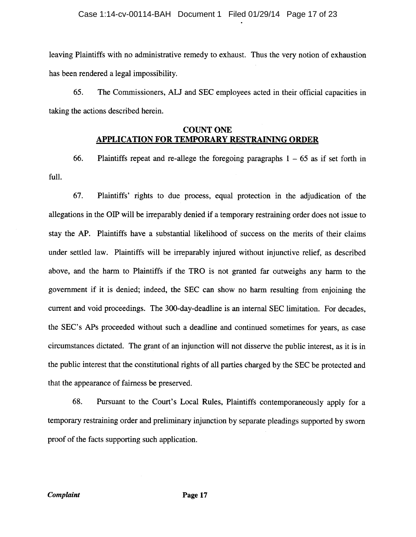#### Case 1:14-cv-00114-BAH Document 1 Filed 01/29/14 Page 17 of 23

leaving Plaintiffs with no administrative remedy to exhaust. Thus the very notion of exhaustion has been rendered a legal impossibility.

65. The Commissioners, ALJ and SEC employees acted in their official capacities in taking the actions described herein.

### **COUNT ONE APPLICATION FOR TEMPORARY RESTRAINING ORDER**

66. Plaintiffs repeat and re-allege the foregoing paragraphs  $1 - 65$  as if set forth in full.

67. Plaintiffs' rights to due process, equal protection in the adjudication of the allegations in the OIP will be irreparably denied if a temporary restraining order does not issue to stay the AP. Plaintiffs have a substantial likelihood of success on the merits of their claims under settled law. Plaintiffs will be irreparably injured without injunctive relief, as described above, and the harm to Plaintiffs if the TRO is not granted far outweighs any harm to the government if it is denied; indeed, the SEC can show no harm resulting from enjoining the current and void proceedings. The 300-day-deadline is an internal SEC limitation. For decades, the SEC's APs proceeded without such a deadline and continued sometimes for years, as case circumstances dictated. The grant of an injunction will not disserve the public interest, as it is in the public interest that the constitutional rights of all parties charged by the SEC be protected and that the appearance of fairness be preserved.

68. Pursuant to the Court's Local Rules, Plaintiffs contemporaneously apply for a temporary restraining order and preliminary injunction by separate pleadings supported by sworn proof of the facts supporting such application.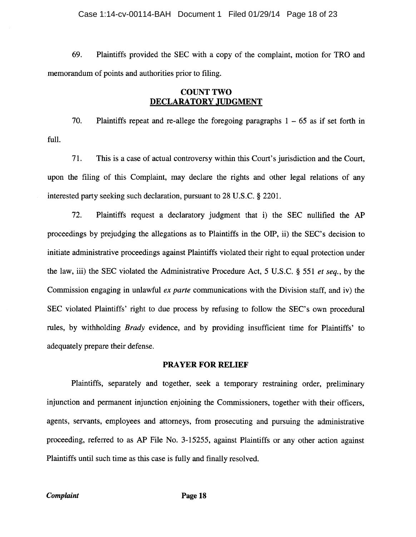#### Case 1:14-cv-00114-BAH Document 1 Filed 01/29/14 Page 18 of 23

69. Plaintiffs provided the SEC with a copy of the complaint, motion for TRO and memorandum of points and authorities prior to filing.

### **COUNT TWO** DECLARATORY JUDGMENT

70. Plaintiffs repeat and re-allege the foregoing paragraphs  $1 - 65$  as if set forth in full.

71. This is a case of actual controversy within this Court's jurisdiction and the Court, upon the filing of this Complaint, may declare the rights and other legal relations of any interested party seeking such declaration, pursuant to 28 U.S.C. § 2201.

72. Plaintiffs request a declaratory judgment that i) the SEC nullified the AP proceedings by prejudging the allegations as to Plaintiffs in the OIP, ii) the SEC's decision to initiate administrative proceedings against Plaintiffs violated their right to equal protection under the law, iii) the SEC violated the Administrative Procedure Act, 5 U.S.C. § 551 et seq., by the Commission engaging in unlawful ex parte communications with the Division staff, and iv) the SEC violated Plaintiffs' right to due process by refusing to follow the SEC's own procedural rules, by withholding *Brady* evidence, and by providing insufficient time for Plaintiffs' to adequately prepare their defense.

### **PRAYER FOR RELIEF**

Plaintiffs, separately and together, seek a temporary restraining order, preliminary injunction and permanent injunction enjoining the Commissioners, together with their officers. agents, servants, employees and attorneys, from prosecuting and pursuing the administrative proceeding, referred to as AP File No. 3-15255, against Plaintiffs or any other action against Plaintiffs until such time as this case is fully and finally resolved.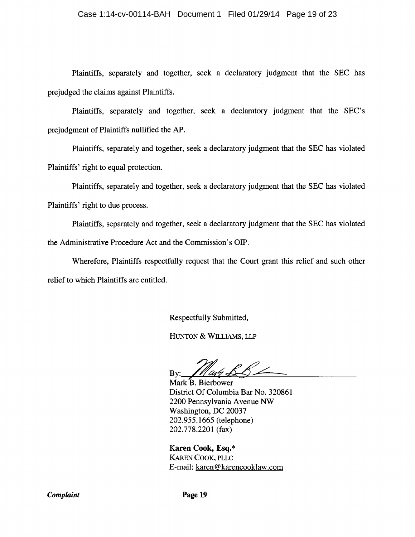#### Case 1:14-cv-00114-BAH Document 1 Filed 01/29/14 Page 19 of 23

Plaintiffs, separately and together, seek a declaratory judgment that the SEC has prejudged the claims against Plaintiffs.

Plaintiffs, separately and together, seek a declaratory judgment that the SEC's prejudgment of Plaintiffs nullified the AP.

Plaintiffs, separately and together, seek a declaratory judgment that the SEC has violated Plaintiffs' right to equal protection.

Plaintiffs, separately and together, seek a declaratory judgment that the SEC has violated Plaintiffs' right to due process.

Plaintiffs, separately and together, seek a declaratory judgment that the SEC has violated the Administrative Procedure Act and the Commission's OIP.

Wherefore, Plaintiffs respectfully request that the Court grant this relief and such other relief to which Plaintiffs are entitled.

Respectfully Submitted,

HUNTON & WILLIAMS, LLP

Bv:

Mark B. Bierbower District Of Columbia Bar No. 320861 2200 Pennsylvania Avenue NW Washington, DC 20037 202.955.1665 (telephone) 202.778.2201 (fax)

Karen Cook, Esq.\* **KAREN COOK, PLLC** E-mail: karen@karencooklaw.com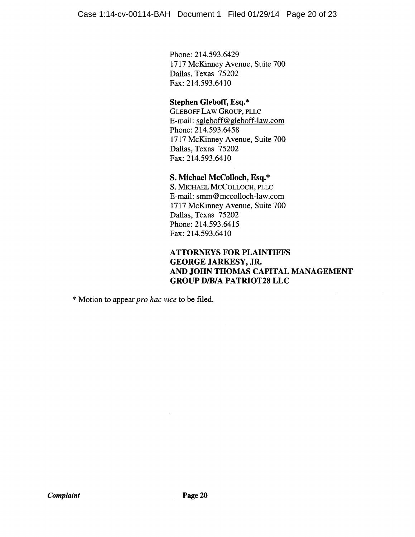Phone: 214.593.6429 1717 McKinney Avenue, Suite 700 Dallas, Texas 75202 Fax: 214.593.6410

# Stephen Gleboff, Esq.\*

**GLEBOFF LAW GROUP, PLLC** E-mail: sgleboff@gleboff-law.com Phone: 214.593.6458 1717 McKinney Avenue, Suite 700 Dallas, Texas 75202 Fax: 214.593.6410

### S. Michael McColloch, Esq.\*

S. MICHAEL MCCOLLOCH, PLLC E-mail: smm@mccolloch-law.com 1717 McKinney Avenue, Suite 700 Dallas, Texas 75202 Phone: 214.593.6415 Fax: 214.593.6410

### **ATTORNEYS FOR PLAINTIFFS GEORGE JARKESY, JR.** AND JOHN THOMAS CAPITAL MANAGEMENT **GROUP D/B/A PATRIOT28 LLC**

\* Motion to appear *pro hac vice* to be filed.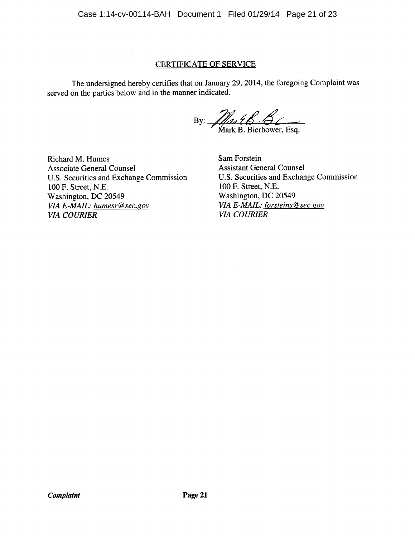Case 1:14-cv-00114-BAH Document 1 Filed 01/29/14 Page 21 of 23

### **CERTIFICATE OF SERVICE**

The undersigned hereby certifies that on January 29, 2014, the foregoing Complaint was served on the parties below and in the manner indicated.

By:  $\frac{1}{\sqrt{2}} \frac{1}{\sqrt{2}} \frac{1}{\sqrt{2}} \frac{1}{\sqrt{2}} \frac{1}{\sqrt{2}}$ <br>Mark B. Bierbower, Esq.

Richard M. Humes **Associate General Counsel** U.S. Securities and Exchange Commission 100 F. Street, N.E. Washington, DC 20549 VIA E-MAIL: humesr@sec.gov **VIA COURIER** 

Sam Forstein **Assistant General Counsel** U.S. Securities and Exchange Commission 100 F. Street, N.E. Washington, DC 20549 VIA E-MAIL: forsteins@sec.gov **VIA COURIER**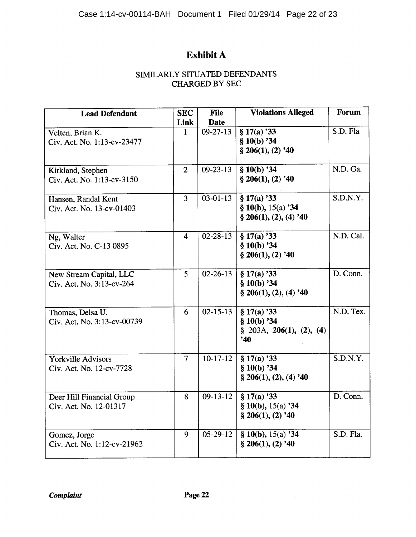# Exhibit A

# SIMILARLY SITUATED DEFENDANTS **CHARGED BY SEC**

| <b>Lead Defendant</b>       | <b>SEC</b>     | <b>File</b>    | <b>Violations Alleged</b>   | Forum     |
|-----------------------------|----------------|----------------|-----------------------------|-----------|
|                             | Link           | <b>Date</b>    |                             |           |
| Velten, Brian K.            | $\mathbf{1}$   | $09 - 27 - 13$ | § 17(a) 33                  | S.D. Fla  |
| Civ. Act. No. 1:13-cv-23477 |                |                | § 10(b) 34                  |           |
|                             |                |                | $§$ 206(1), (2) '40         |           |
|                             |                |                |                             |           |
| Kirkland, Stephen           | $\overline{2}$ | $09 - 23 - 13$ | \$10(b) 34                  | N.D. Ga.  |
| Civ. Act. No. 1:13-cv-3150  |                |                | $§$ 206(1), (2) '40         |           |
|                             |                |                |                             |           |
| Hansen, Randal Kent         | $\overline{3}$ | $03 - 01 - 13$ | \$17(a) 33                  | S.D.N.Y.  |
| Civ. Act. No. 13-cv-01403   |                |                | § 10(b), $15(a)$ '34        |           |
|                             |                |                | § 206(1), (2), (4) '40      |           |
|                             |                |                |                             |           |
| Ng, Walter                  | 4              | $02 - 28 - 13$ | § 17(a) 33                  | N.D. Cal. |
| Civ. Act. No. C-13 0895     |                |                | § 10(b) 34                  |           |
|                             |                |                | $$206(1), (2)$ '40          |           |
|                             |                |                |                             |           |
| New Stream Capital, LLC     | 5              | $02 - 26 - 13$ | § 17(a) 33                  | D. Conn.  |
| Civ. Act. No. 3:13-cv-264   |                |                | $$10(b)$ '34                |           |
|                             |                |                | $\S 206(1), (2), (4)$ '40   |           |
|                             |                |                |                             |           |
| Thomas, Delsa U.            | 6              | $02 - 15 - 13$ | \$17(a) 33                  | N.D. Tex. |
| Civ. Act. No. 3:13-cv-00739 |                |                | $$10(b)$ '34                |           |
|                             |                |                | $\S$ 203A, 206(1), (2), (4) |           |
|                             |                |                | 240                         |           |
| <b>Yorkville Advisors</b>   | $\overline{7}$ | $10-17-12$     | § 17(a) 33                  | S.D.N.Y.  |
|                             |                |                | $$10(b)$ '34                |           |
| Civ. Act. No. 12-cv-7728    |                |                | $\S 206(1), (2), (4)$ '40   |           |
|                             |                |                |                             |           |
| Deer Hill Financial Group   | 8              | $09-13-12$     | $$17(a)$ '33                | D. Conn.  |
| Civ. Act. No. 12-01317      |                |                | § 10(b), $15(a)$ '34        |           |
|                             |                |                | $$206(1), (2)$ '40          |           |
|                             |                |                |                             |           |
| Gomez, Jorge                | 9              | $05-29-12$     | § 10(b), $15(a)$ '34        | S.D. Fla. |
| Civ. Act. No. 1:12-cv-21962 |                |                | $$206(1), (2)$ '40          |           |
|                             |                |                |                             |           |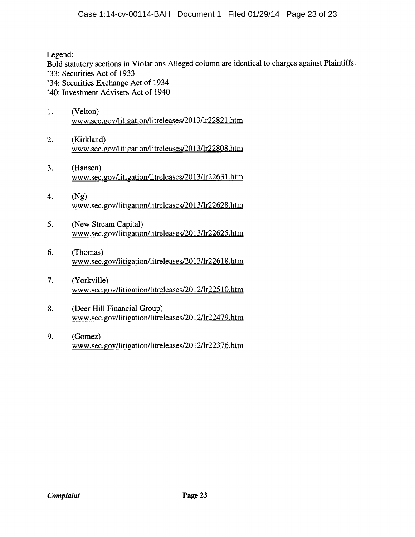Legend:

Bold statutory sections in Violations Alleged column are identical to charges against Plaintiffs.

- '33: Securities Act of 1933
- '34: Securities Exchange Act of 1934
- '40: Investment Advisers Act of 1940
- $1.$ (Velton) www.sec.gov/litigation/litreleases/2013/lr22821.htm
- (Kirkland) 2. www.sec.gov/litigation/litreleases/2013/lr22808.htm
- $3<sub>1</sub>$ (Hansen) www.sec.gov/litigation/litreleases/2013/lr22631.htm
- 4.  $(Ng)$ www.sec.gov/litigation/litreleases/2013/lr22628.htm
- 5. (New Stream Capital) www.sec.gov/litigation/litreleases/2013/lr22625.htm
- (Thomas) 6. www.sec.gov/litigation/litreleases/2013/lr22618.htm
- $7.$ (Yorkville) www.sec.gov/litigation/litreleases/2012/lr22510.htm
- 8. (Deer Hill Financial Group) www.sec.gov/litigation/litreleases/2012/lr22479.htm
- 9. (Gomez) www.sec.gov/litigation/litreleases/2012/lr22376.htm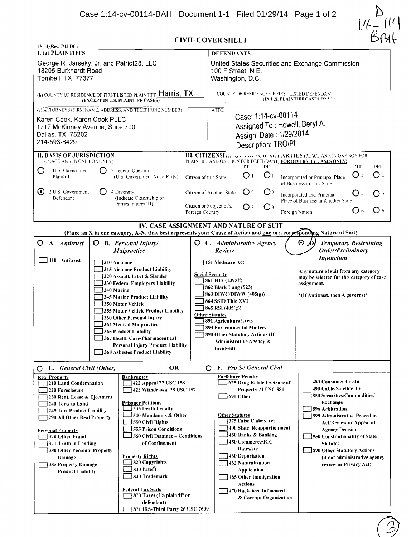

| <b>CIVIL COVER SHEET</b> |  |
|--------------------------|--|

| JS-44 (Rev. 7/13 DC)                                                                                                                                                                                                                                                                                                                                                                                                                                                                                                                                                                                                                                                                                                                                                                                            |                                                    |                                                                                                                                                                                                                                                                                                                                                                                                     |                                                                                                                                                                                                                                                                                                                                                                |  |
|-----------------------------------------------------------------------------------------------------------------------------------------------------------------------------------------------------------------------------------------------------------------------------------------------------------------------------------------------------------------------------------------------------------------------------------------------------------------------------------------------------------------------------------------------------------------------------------------------------------------------------------------------------------------------------------------------------------------------------------------------------------------------------------------------------------------|----------------------------------------------------|-----------------------------------------------------------------------------------------------------------------------------------------------------------------------------------------------------------------------------------------------------------------------------------------------------------------------------------------------------------------------------------------------------|----------------------------------------------------------------------------------------------------------------------------------------------------------------------------------------------------------------------------------------------------------------------------------------------------------------------------------------------------------------|--|
| <b>l.</b> (a) PLAINTIFFS                                                                                                                                                                                                                                                                                                                                                                                                                                                                                                                                                                                                                                                                                                                                                                                        |                                                    | <b>DEFENDANTS</b>                                                                                                                                                                                                                                                                                                                                                                                   |                                                                                                                                                                                                                                                                                                                                                                |  |
| George R. Jarseky, Jr. and Patriot28, LLC<br>18205 Burkhardt Road<br>Tomball, TX 77377                                                                                                                                                                                                                                                                                                                                                                                                                                                                                                                                                                                                                                                                                                                          |                                                    | United States Securities and Exchange Commission<br>100 F Street, N.E.<br>Washington, D.C.                                                                                                                                                                                                                                                                                                          |                                                                                                                                                                                                                                                                                                                                                                |  |
| (b) COUNTY OF RESIDENCE OF FIRST LISTED PLAINTIFF <b>Harris, TX</b><br>(EXCEPT IN U.S. PLAINTIFF CASES)                                                                                                                                                                                                                                                                                                                                                                                                                                                                                                                                                                                                                                                                                                         |                                                    | COUNTY OF RESIDENCE OF FIRST LISTED DEFENDANT<br>(IN U.S. PLAINTIFF CASES ONLY)                                                                                                                                                                                                                                                                                                                     |                                                                                                                                                                                                                                                                                                                                                                |  |
| (c) ATTORNEYS (FIRM NAME, ADDRESS, AND TELEPHONE NUMBER)                                                                                                                                                                                                                                                                                                                                                                                                                                                                                                                                                                                                                                                                                                                                                        |                                                    | <b>ATTOI</b>                                                                                                                                                                                                                                                                                                                                                                                        |                                                                                                                                                                                                                                                                                                                                                                |  |
| Karen Cook, Karen Cook PLLC<br>1717 McKinney Avenue, Suite 700<br>Dallas, TX 75202<br>214-593-6429                                                                                                                                                                                                                                                                                                                                                                                                                                                                                                                                                                                                                                                                                                              |                                                    | Case: 1:14-cv-00114<br>Assigned To: Howell, Beryl A.<br>Assign. Date: 1/29/2014<br>Description: TRO/PI                                                                                                                                                                                                                                                                                              |                                                                                                                                                                                                                                                                                                                                                                |  |
| <b>II. BASIS OF JURISDICTION</b>                                                                                                                                                                                                                                                                                                                                                                                                                                                                                                                                                                                                                                                                                                                                                                                |                                                    | <b>III. CITIZENSH</b> WE FIND VEH AL FARTIES (PLACE AN X IN ONE BOX FOR<br>PLAINTIFF AND ONE BOX FOR DEFENDANT) FOR DIVERSITY CASES ONLY!                                                                                                                                                                                                                                                           |                                                                                                                                                                                                                                                                                                                                                                |  |
| (PLACE AN x IN ONE BOX ONLY)<br>1 U S Government<br>0<br>Ο<br>Plaintiff                                                                                                                                                                                                                                                                                                                                                                                                                                                                                                                                                                                                                                                                                                                                         | 3 Federal Question<br>(U S Government Not a Party) | <b>PTF</b><br><b>DFT</b><br>O <sub>1</sub><br>O <sub>1</sub><br>Citizen of this State<br>Incorporated or Principal Place<br>of Business in This State                                                                                                                                                                                                                                               | <b>DFT</b><br><b>PTF</b><br>O 4<br>O <sub>4</sub>                                                                                                                                                                                                                                                                                                              |  |
| (•)<br>2 U S Government<br><b>Defendant</b>                                                                                                                                                                                                                                                                                                                                                                                                                                                                                                                                                                                                                                                                                                                                                                     | 4 Diversity<br>(Indicate Citizenship of            | O <sub>2</sub><br>O <sub>2</sub><br>Citizen of Another State<br>Incorporated and Principal                                                                                                                                                                                                                                                                                                          | O <sub>5</sub><br>O <sub>5</sub><br>Place of Business in Another State                                                                                                                                                                                                                                                                                         |  |
|                                                                                                                                                                                                                                                                                                                                                                                                                                                                                                                                                                                                                                                                                                                                                                                                                 | Parties in item III)                               | Citizen or Subject of a<br>$\bigcirc$ 3<br>O <sub>3</sub><br>Foreign Country<br>Foreign Nation                                                                                                                                                                                                                                                                                                      | $\bigcirc$ 6<br>O <sub>6</sub>                                                                                                                                                                                                                                                                                                                                 |  |
|                                                                                                                                                                                                                                                                                                                                                                                                                                                                                                                                                                                                                                                                                                                                                                                                                 |                                                    | IV. CASE ASSIGNMENT AND NATURE OF SUIT<br>(Place an X in one category, A-N, that best represents your Cause of Action and one in a corpesponding Nature of Suit)                                                                                                                                                                                                                                    |                                                                                                                                                                                                                                                                                                                                                                |  |
| $\mathbf{O}$<br>A. Antitrust<br>O                                                                                                                                                                                                                                                                                                                                                                                                                                                                                                                                                                                                                                                                                                                                                                               | <b>B.</b> Personal Injury/<br>Malpractice          | $\odot$ d)<br><b>O</b> C. Administrative Agency<br>Review                                                                                                                                                                                                                                                                                                                                           | <b>Temporary Restraining</b><br>Order/Preliminary<br><b>Injunction</b>                                                                                                                                                                                                                                                                                         |  |
| $ 410$ Antitrust<br>310 Airplane<br>315 Airplane Product Liability<br>320 Assault, Libel & Slander<br>330 Federal Employers Liability<br>340 Marine<br>345 Marine Product Liability<br>350 Motor Vehicle<br>355 Motor Vehicle Product Liability<br>360 Other Personal Injury<br>362 Medical Malpractice<br><b>365 Product Liability</b><br>367 Health Care/Pharmaceutical<br><b>Personal Injury Product Liability</b><br><b>368 Asbestos Product Liability</b>                                                                                                                                                                                                                                                                                                                                                  |                                                    | 151 Medicare Act<br><b>Social Security</b><br>861 HIA (1395ff)<br>862 Black Lung (923)<br>863 DIWC/DIWW (405(g))<br>864 SSID Title XVI<br>$865$ RSI $(405(g))$<br><b>Other Statutes</b><br>891 Agricultural Acts<br><b>893 Environmental Matters</b><br>890 Other Statutory Actions (If<br><b>Administrative Agency is</b><br>Involved)                                                             | Any nature of suit from any category<br>may be selected for this category of case<br>assignment.<br>*(If Antitrust, then A governs)*                                                                                                                                                                                                                           |  |
| E. General Civil (Other)<br>O                                                                                                                                                                                                                                                                                                                                                                                                                                                                                                                                                                                                                                                                                                                                                                                   | <b>OR</b>                                          | F. Pro Se General Civil<br>O                                                                                                                                                                                                                                                                                                                                                                        |                                                                                                                                                                                                                                                                                                                                                                |  |
| <b>Real Property</b><br>Bankruptcy<br>210 Land Condemnation<br>422 Appeal 27 USC 158<br>220 Foreclosure<br>423 Withdrawal 28 USC 157<br>230 Rent, Lease & Ejectment<br><b>Prisoner Petitions</b><br>240 Torts to Land<br>535 Death Penalty<br>245 Tort Product Liability<br>540 Mandamus & Other<br>290 All Other Real Property<br>550 Civil Rights<br><b>555 Prison Conditions</b><br><b>Personal Property</b><br>560 Civil Detainee - Conditions<br>370 Other Fraud<br>of Confinement<br>371 Truth in Lending<br>380 Other Personal Property<br><b>Property Rights</b><br>Damage<br>820 Copyrights<br>385 Property Damage<br>$\frac{1}{3}830$ Patent<br><b>Product Liability</b><br>840 Trademark<br>Federal T <u>ax Suits</u><br>870 Taxes (US plaintiff or<br>defendant)<br>871 IRS-Third Party 26 USC 7609 |                                                    | <b>Forfeiture/Penalty</b><br>625 Drug Related Seizure of<br>Property 21 USC 881<br>690 Other<br><b>Other Statutes</b><br>375 False Claims Act<br>400 State Reapportionment<br>430 Banks & Banking<br>450 Commerce/ICC<br>Rates/etc.<br><b>460 Deportation</b><br>462 Naturalization<br>Application<br>465 Other Immigration<br><b>Actions</b><br>470 Racketeer Influenced<br>& Corrupt Organization | 480 Consumer Credit<br>490 Cable/Satellite TV<br>850 Securities/Commodities/<br>Exchange<br>896 Arbitration<br><b>7899 Administrative Procedure</b><br><b>Act/Review or Appeal of</b><br><b>Agency Decision</b><br>950 Constitutionality of State<br><b>Statutes</b><br>890 Other Statutory Actions<br>(if not administrative agency<br>review or Privacy Act) |  |